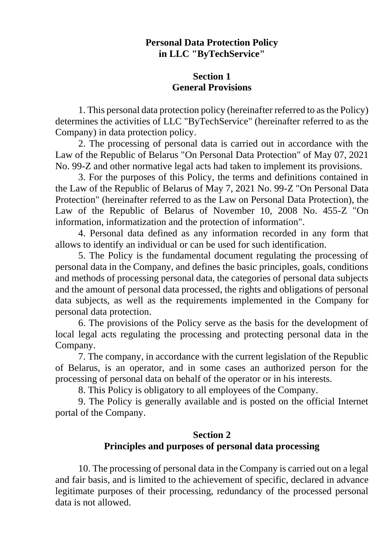# **Personal Data Protection Policy in LLC "ByTechService"**

### **Section 1 General Provisions**

1. This personal data protection policy (hereinafter referred to as the Policy) determines the activities of LLC "ByTechService" (hereinafter referred to as the Company) in data protection policy.

2. The processing of personal data is carried out in accordance with the Law of the Republic of Belarus "On Personal Data Protection" of May 07, 2021 No. 99-Z and other normative legal acts had taken to implement its provisions.

3. For the purposes of this Policy, the terms and definitions contained in the Law of the Republic of Belarus of May 7, 2021 No. 99-Z "On Personal Data Protection" (hereinafter referred to as the Law on Personal Data Protection), the Law of the Republic of Belarus of November 10, 2008 No. 455-Z "On information, informatization and the protection of information".

4. Personal data defined as any information recorded in any form that allows to identify an individual or can be used for such identification.

5. The Policy is the fundamental document regulating the processing of personal data in the Company, and defines the basic principles, goals, conditions and methods of processing personal data, the categories of personal data subjects and the amount of personal data processed, the rights and obligations of personal data subjects, as well as the requirements implemented in the Company for personal data protection.

6. The provisions of the Policy serve as the basis for the development of local legal acts regulating the processing and protecting personal data in the Company.

7. The company, in accordance with the current legislation of the Republic of Belarus, is an operator, and in some cases an authorized person for the processing of personal data on behalf of the operator or in his interests.

8. This Policy is obligatory to all employees of the Company.

9. The Policy is generally available and is posted on the official Internet portal of the Company.

### **Section 2**

# **Principles and purposes of personal data processing**

10. The processing of personal data in the Company is carried out on a legal and fair basis, and is limited to the achievement of specific, declared in advance legitimate purposes of their processing, redundancy of the processed personal data is not allowed.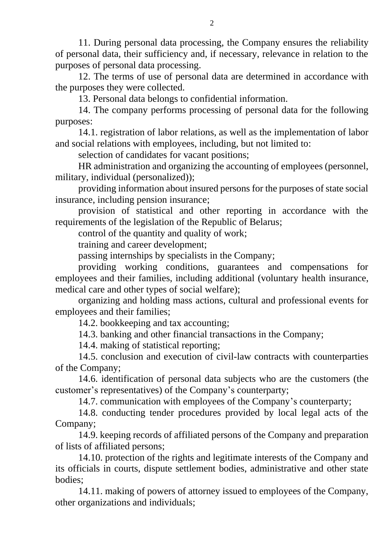11. During personal data processing, the Company ensures the reliability of personal data, their sufficiency and, if necessary, relevance in relation to the purposes of personal data processing.

12. The terms of use of personal data are determined in accordance with the purposes they were collected.

13. Personal data belongs to confidential information.

14. The company performs processing of personal data for the following purposes:

14.1. registration of labor relations, as well as the implementation of labor and social relations with employees, including, but not limited to:

selection of candidates for vacant positions;

HR administration and organizing the accounting of employees (personnel, military, individual (personalized));

providing information about insured persons for the purposes of state social insurance, including pension insurance;

provision of statistical and other reporting in accordance with the requirements of the legislation of the Republic of Belarus;

control of the quantity and quality of work;

training and career development;

passing internships by specialists in the Company;

providing working conditions, guarantees and compensations for employees and their families, including additional (voluntary health insurance, medical care and other types of social welfare);

organizing and holding mass actions, cultural and professional events for employees and their families;

14.2. bookkeeping and tax accounting;

14.3. banking and other financial transactions in the Company;

14.4. making of statistical reporting;

14.5. conclusion and execution of civil-law contracts with counterparties of the Company;

14.6. identification of personal data subjects who are the customers (the customer's representatives) of the Company's counterparty;

14.7. communication with employees of the Company's counterparty;

14.8. conducting tender procedures provided by local legal acts of the Company;

14.9. keeping records of affiliated persons of the Company and preparation of lists of affiliated persons;

14.10. protection of the rights and legitimate interests of the Company and its officials in courts, dispute settlement bodies, administrative and other state bodies;

14.11. making of powers of attorney issued to employees of the Company, other organizations and individuals;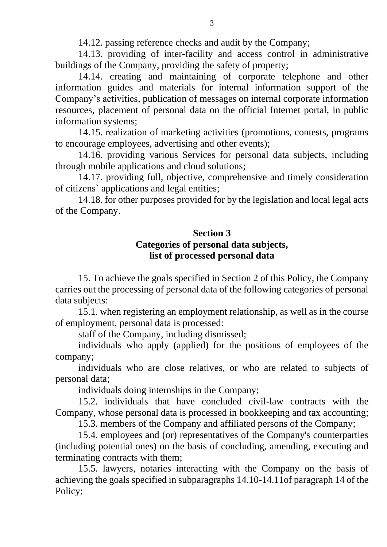14.12. passing reference checks and audit by the Company;

14.13. providing of inter-facility and access control in administrative buildings of the Company, providing the safety of property;

14.14. creating and maintaining of corporate telephone and other information guides and materials for internal information support of the Company's activities, publication of messages on internal corporate information resources, placement of personal data on the official Internet portal, in public information systems;

14.15. realization of marketing activities (promotions, contests, programs to encourage employees, advertising and other events);

14.16. providing various Services for personal data subjects, including through mobile applications and cloud solutions;

14.17. providing full, objective, comprehensive and timely consideration of citizens` applications and legal entities;

14.18. for other purposes provided for by the legislation and local legal acts of the Company.

# **Section 3**

#### **Categories of personal data subjects, list of processed personal data**

15. To achieve the goals specified in Section 2 of this Policy, the Company carries out the processing of personal data of the following categories of personal data subjects:

15.1. when registering an employment relationship, as well as in the course of employment, personal data is processed:

staff of the Company, including dismissed;

individuals who apply (applied) for the positions of employees of the company;

individuals who are close relatives, or who are related to subjects of personal data;

individuals doing internships in the Company;

15.2. individuals that have concluded civil-law contracts with the Company, whose personal data is processed in bookkeeping and tax accounting;

15.3. members of the Company and affiliated persons of the Company;

15.4. employees and (or) representatives of the Company's counterparties (including potential ones) on the basis of concluding, amending, executing and terminating contracts with them;

15.5. lawyers, notaries interacting with the Company on the basis of achieving the goals specified in subparagraphs 14.10-14.11of paragraph 14 of the Policy;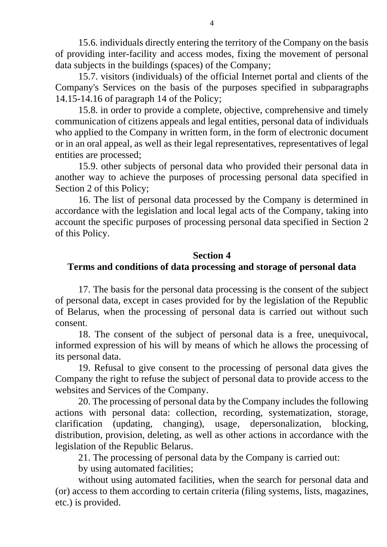15.6. individuals directly entering the territory of the Company on the basis of providing inter-facility and access modes, fixing the movement of personal data subjects in the buildings (spaces) of the Company;

15.7. visitors (individuals) of the official Internet portal and clients of the Company's Services on the basis of the purposes specified in subparagraphs 14.15-14.16 of paragraph 14 of the Policy;

15.8. in order to provide a complete, objective, comprehensive and timely communication of citizens appeals and legal entities, personal data of individuals who applied to the Company in written form, in the form of electronic document or in an oral appeal, as well as their legal representatives, representatives of legal entities are processed;

15.9. other subjects of personal data who provided their personal data in another way to achieve the purposes of processing personal data specified in Section 2 of this Policy;

16. The list of personal data processed by the Company is determined in accordance with the legislation and local legal acts of the Company, taking into account the specific purposes of processing personal data specified in Section 2 of this Policy.

#### **Section 4**

### **Terms and conditions of data processing and storage of personal data**

17. The basis for the personal data processing is the consent of the subject of personal data, except in cases provided for by the legislation of the Republic of Belarus, when the processing of personal data is carried out without such consent.

18. The consent of the subject of personal data is a free, unequivocal, informed expression of his will by means of which he allows the processing of its personal data.

19. Refusal to give consent to the processing of personal data gives the Company the right to refuse the subject of personal data to provide access to the websites and Services of the Company.

20. The processing of personal data by the Company includes the following actions with personal data: collection, recording, systematization, storage, clarification (updating, changing), usage, depersonalization, blocking, distribution, provision, deleting, as well as other actions in accordance with the legislation of the Republic Belarus.

21. The processing of personal data by the Company is carried out:

by using automated facilities;

without using automated facilities, when the search for personal data and (or) access to them according to certain criteria (filing systems, lists, magazines, etc.) is provided.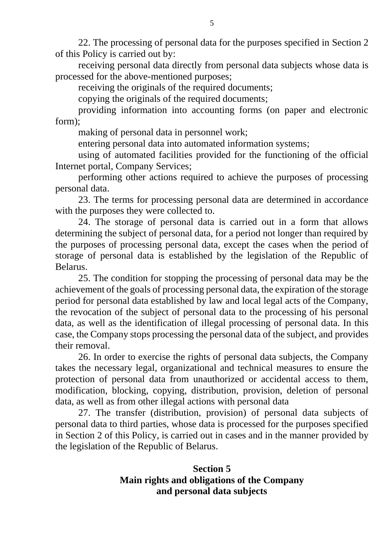22. The processing of personal data for the purposes specified in Section 2 of this Policy is carried out by:

receiving personal data directly from personal data subjects whose data is processed for the above-mentioned purposes;

receiving the originals of the required documents;

copying the originals of the required documents;

providing information into accounting forms (on paper and electronic form);

making of personal data in personnel work;

entering personal data into automated information systems;

using of automated facilities provided for the functioning of the official Internet portal, Company Services;

performing other actions required to achieve the purposes of processing personal data.

23. The terms for processing personal data are determined in accordance with the purposes they were collected to.

24. The storage of personal data is carried out in a form that allows determining the subject of personal data, for a period not longer than required by the purposes of processing personal data, except the cases when the period of storage of personal data is established by the legislation of the Republic of Belarus.

25. The condition for stopping the processing of personal data may be the achievement of the goals of processing personal data, the expiration of the storage period for personal data established by law and local legal acts of the Company, the revocation of the subject of personal data to the processing of his personal data, as well as the identification of illegal processing of personal data. In this case, the Company stops processing the personal data of the subject, and provides their removal.

26. In order to exercise the rights of personal data subjects, the Company takes the necessary legal, organizational and technical measures to ensure the protection of personal data from unauthorized or accidental access to them, modification, blocking, copying, distribution, provision, deletion of personal data, as well as from other illegal actions with personal data

27. The transfer (distribution, provision) of personal data subjects of personal data to third parties, whose data is processed for the purposes specified in Section 2 of this Policy, is carried out in cases and in the manner provided by the legislation of the Republic of Belarus.

# **Section 5 Main rights and obligations of the Company and personal data subjects**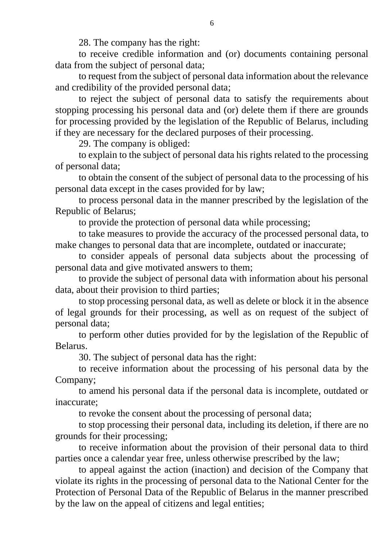28. The company has the right:

to receive credible information and (or) documents containing personal data from the subject of personal data;

to request from the subject of personal data information about the relevance and credibility of the provided personal data;

to reject the subject of personal data to satisfy the requirements about stopping processing his personal data and (or) delete them if there are grounds for processing provided by the legislation of the Republic of Belarus, including if they are necessary for the declared purposes of their processing.

29. The company is obliged:

to explain to the subject of personal data his rights related to the processing of personal data;

to obtain the consent of the subject of personal data to the processing of his personal data except in the cases provided for by law;

to process personal data in the manner prescribed by the legislation of the Republic of Belarus;

to provide the protection of personal data while processing;

to take measures to provide the accuracy of the processed personal data, to make changes to personal data that are incomplete, outdated or inaccurate;

to consider appeals of personal data subjects about the processing of personal data and give motivated answers to them;

to provide the subject of personal data with information about his personal data, about their provision to third parties;

to stop processing personal data, as well as delete or block it in the absence of legal grounds for their processing, as well as on request of the subject of personal data;

to perform other duties provided for by the legislation of the Republic of Belarus.

30. The subject of personal data has the right:

to receive information about the processing of his personal data by the Company;

to amend his personal data if the personal data is incomplete, outdated or inaccurate;

to revoke the consent about the processing of personal data;

to stop processing their personal data, including its deletion, if there are no grounds for their processing;

to receive information about the provision of their personal data to third parties once a calendar year free, unless otherwise prescribed by the law;

to appeal against the action (inaction) and decision of the Company that violate its rights in the processing of personal data to the National Center for the Protection of Personal Data of the Republic of Belarus in the manner prescribed by the law on the appeal of citizens and legal entities;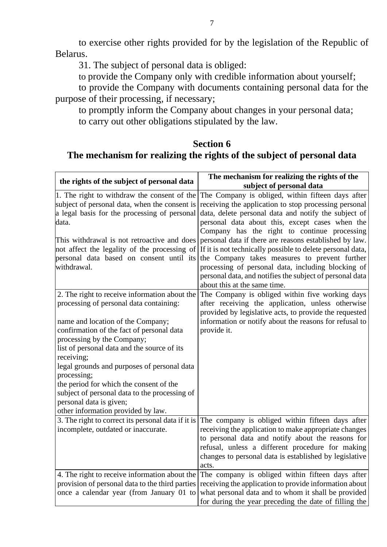to exercise other rights provided for by the legislation of the Republic of Belarus.

31. The subject of personal data is obliged:

to provide the Company only with credible information about yourself;

to provide the Company with documents containing personal data for the purpose of their processing, if necessary;

to promptly inform the Company about changes in your personal data; to carry out other obligations stipulated by the law.

### **Section 6 The mechanism for realizing the rights of the subject of personal data**

| the rights of the subject of personal data                                                                                                                                                                                                                                                                                                                                                                                                                                                       | The mechanism for realizing the rights of the                                                                                                                                                                                                                                                                           |
|--------------------------------------------------------------------------------------------------------------------------------------------------------------------------------------------------------------------------------------------------------------------------------------------------------------------------------------------------------------------------------------------------------------------------------------------------------------------------------------------------|-------------------------------------------------------------------------------------------------------------------------------------------------------------------------------------------------------------------------------------------------------------------------------------------------------------------------|
|                                                                                                                                                                                                                                                                                                                                                                                                                                                                                                  | subject of personal data                                                                                                                                                                                                                                                                                                |
| 1. The right to withdraw the consent of the<br>subject of personal data, when the consent is<br>a legal basis for the processing of personal<br>data.                                                                                                                                                                                                                                                                                                                                            | The Company is obliged, within fifteen days after<br>receiving the application to stop processing personal<br>data, delete personal data and notify the subject of<br>personal data about this, except cases when the<br>Company has the right to continue processing                                                   |
| This withdrawal is not retroactive and does<br>not affect the legality of the processing of<br>personal data based on consent until its<br>withdrawal.                                                                                                                                                                                                                                                                                                                                           | personal data if there are reasons established by law.<br>If it is not technically possible to delete personal data,<br>the Company takes measures to prevent further<br>processing of personal data, including blocking of<br>personal data, and notifies the subject of personal data<br>about this at the same time. |
| 2. The right to receive information about the<br>processing of personal data containing:<br>name and location of the Company;<br>confirmation of the fact of personal data<br>processing by the Company;<br>list of personal data and the source of its<br>receiving;<br>legal grounds and purposes of personal data<br>processing;<br>the period for which the consent of the<br>subject of personal data to the processing of<br>personal data is given;<br>other information provided by law. | The Company is obliged within five working days<br>after receiving the application, unless otherwise<br>provided by legislative acts, to provide the requested<br>information or notify about the reasons for refusal to<br>provide it.                                                                                 |
| 3. The right to correct its personal data if it is<br>incomplete, outdated or inaccurate.                                                                                                                                                                                                                                                                                                                                                                                                        | The company is obliged within fifteen days after<br>receiving the application to make appropriate changes<br>to personal data and notify about the reasons for<br>refusal, unless a different procedure for making<br>changes to personal data is established by legislative<br>acts.                                   |
| 4. The right to receive information about the<br>provision of personal data to the third parties<br>once a calendar year (from January 01 to                                                                                                                                                                                                                                                                                                                                                     | The company is obliged within fifteen days after<br>receiving the application to provide information about<br>what personal data and to whom it shall be provided<br>for during the year preceding the date of filling the                                                                                              |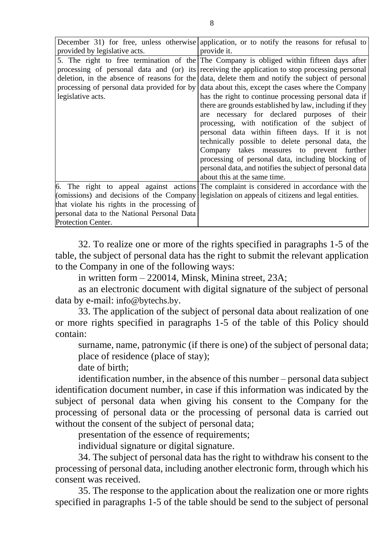|                                              | December 31) for free, unless otherwise application, or to notify the reasons for refusal to     |
|----------------------------------------------|--------------------------------------------------------------------------------------------------|
| provided by legislative acts.                | provide it.                                                                                      |
|                                              | 5. The right to free termination of the The Company is obliged within fifteen days after         |
|                                              | processing of personal data and (or) its receiving the application to stop processing personal   |
|                                              | deletion, in the absence of reasons for the data, delete them and notify the subject of personal |
|                                              | processing of personal data provided for by data about this, except the cases where the Company  |
| legislative acts.                            | has the right to continue processing personal data if                                            |
|                                              | there are grounds established by law, including if they                                          |
|                                              | are necessary for declared purposes of their                                                     |
|                                              | processing, with notification of the subject of                                                  |
|                                              | personal data within fifteen days. If it is not                                                  |
|                                              | technically possible to delete personal data, the                                                |
|                                              | Company takes measures to prevent further                                                        |
|                                              | processing of personal data, including blocking of                                               |
|                                              | personal data, and notifies the subject of personal data                                         |
|                                              | about this at the same time.                                                                     |
|                                              | 6. The right to appeal against actions The complaint is considered in accordance with the        |
| (omissions) and decisions of the Company     | legislation on appeals of citizens and legal entities.                                           |
| that violate his rights in the processing of |                                                                                                  |
| personal data to the National Personal Data  |                                                                                                  |
| Protection Center.                           |                                                                                                  |

32. To realize one or more of the rights specified in paragraphs 1-5 of the table, the subject of personal data has the right to submit the relevant application to the Company in one of the following ways:

in written form – 220014, Minsk, Minina street, 23A;

as an electronic document with digital signature of the subject of personal data by e-mail: info@bytechs.by.

33. The application of the subject of personal data about realization of one or more rights specified in paragraphs 1-5 of the table of this Policy should contain:

surname, name, patronymic (if there is one) of the subject of personal data; place of residence (place of stay);

date of birth;

identification number, in the absence of this number – personal data subject identification document number, in case if this information was indicated by the subject of personal data when giving his consent to the Company for the processing of personal data or the processing of personal data is carried out without the consent of the subject of personal data;

presentation of the essence of requirements;

individual signature or digital signature.

34. The subject of personal data has the right to withdraw his consent to the processing of personal data, including another electronic form, through which his consent was received.

35. The response to the application about the realization one or more rights specified in paragraphs 1-5 of the table should be send to the subject of personal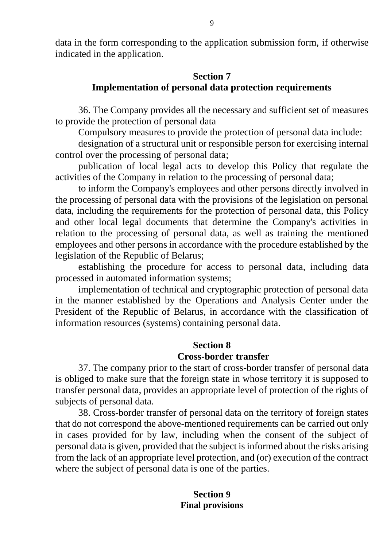data in the form corresponding to the application submission form, if otherwise indicated in the application.

## **Section 7 Implementation of personal data protection requirements**

36. The Company provides all the necessary and sufficient set of measures to provide the protection of personal data

Compulsory measures to provide the protection of personal data include:

designation of a structural unit or responsible person for exercising internal control over the processing of personal data;

publication of local legal acts to develop this Policy that regulate the activities of the Company in relation to the processing of personal data;

to inform the Company's employees and other persons directly involved in the processing of personal data with the provisions of the legislation on personal data, including the requirements for the protection of personal data, this Policy and other local legal documents that determine the Company's activities in relation to the processing of personal data, as well as training the mentioned employees and other persons in accordance with the procedure established by the legislation of the Republic of Belarus;

establishing the procedure for access to personal data, including data processed in automated information systems;

implementation of technical and cryptographic protection of personal data in the manner established by the Operations and Analysis Center under the President of the Republic of Belarus, in accordance with the classification of information resources (systems) containing personal data.

#### **Section 8**

#### **Cross-border transfer**

37. The company prior to the start of cross-border transfer of personal data is obliged to make sure that the foreign state in whose territory it is supposed to transfer personal data, provides an appropriate level of protection of the rights of subjects of personal data.

38. Cross-border transfer of personal data on the territory of foreign states that do not correspond the above-mentioned requirements can be carried out only in cases provided for by law, including when the consent of the subject of personal data is given, provided that the subject is informed about the risks arising from the lack of an appropriate level protection, and (or) execution of the contract where the subject of personal data is one of the parties.

#### **Section 9 Final provisions**